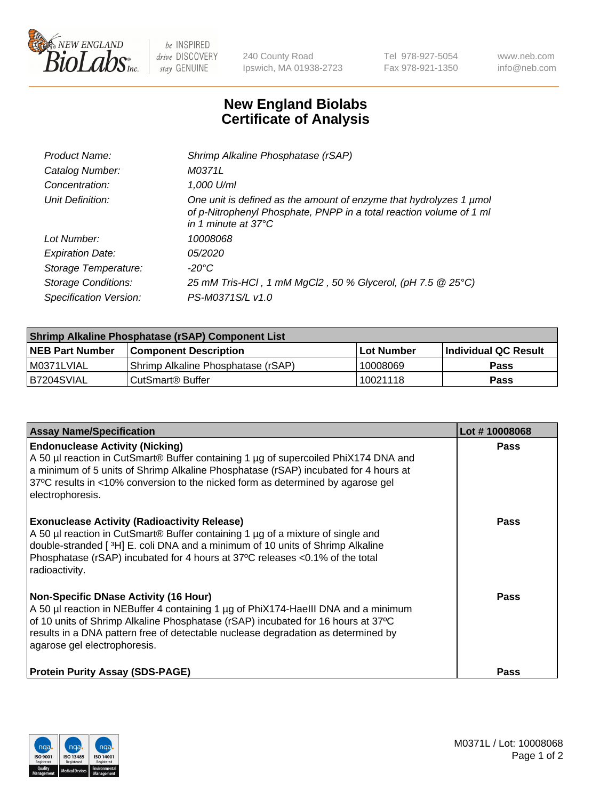

 $be$  INSPIRED drive DISCOVERY stay GENUINE

240 County Road Ipswich, MA 01938-2723 Tel 978-927-5054 Fax 978-921-1350 www.neb.com info@neb.com

## **New England Biolabs Certificate of Analysis**

| Product Name:              | Shrimp Alkaline Phosphatase (rSAP)                                                                                                                                         |
|----------------------------|----------------------------------------------------------------------------------------------------------------------------------------------------------------------------|
| Catalog Number:            | M0371L                                                                                                                                                                     |
| Concentration:             | 1,000 U/ml                                                                                                                                                                 |
| Unit Definition:           | One unit is defined as the amount of enzyme that hydrolyzes 1 µmol<br>of p-Nitrophenyl Phosphate, PNPP in a total reaction volume of 1 ml<br>in 1 minute at $37^{\circ}$ C |
| Lot Number:                | 10008068                                                                                                                                                                   |
| <b>Expiration Date:</b>    | <i>05/2020</i>                                                                                                                                                             |
| Storage Temperature:       | -20°C                                                                                                                                                                      |
| <b>Storage Conditions:</b> | 25 mM Tris-HCl, 1 mM MgCl2, 50 % Glycerol, (pH 7.5 @ 25°C)                                                                                                                 |
| Specification Version:     | PS-M0371S/L v1.0                                                                                                                                                           |

| Shrimp Alkaline Phosphatase (rSAP) Component List |                                    |              |                      |  |  |
|---------------------------------------------------|------------------------------------|--------------|----------------------|--|--|
| <b>NEB Part Number</b>                            | <b>Component Description</b>       | l Lot Number | Individual QC Result |  |  |
| I M0371LVIAL                                      | Shrimp Alkaline Phosphatase (rSAP) | 10008069     | <b>Pass</b>          |  |  |
| B7204SVIAL                                        | CutSmart® Buffer                   | 10021118     | Pass                 |  |  |

| <b>Assay Name/Specification</b>                                                                                                                                                                                                                                                                                                             | Lot #10008068 |
|---------------------------------------------------------------------------------------------------------------------------------------------------------------------------------------------------------------------------------------------------------------------------------------------------------------------------------------------|---------------|
| <b>Endonuclease Activity (Nicking)</b><br>A 50 µl reaction in CutSmart® Buffer containing 1 µg of supercoiled PhiX174 DNA and<br>a minimum of 5 units of Shrimp Alkaline Phosphatase (rSAP) incubated for 4 hours at<br>37°C results in <10% conversion to the nicked form as determined by agarose gel<br>electrophoresis.                 | <b>Pass</b>   |
| <b>Exonuclease Activity (Radioactivity Release)</b><br>A 50 µl reaction in CutSmart® Buffer containing 1 µg of a mixture of single and<br>double-stranded [3H] E. coli DNA and a minimum of 10 units of Shrimp Alkaline<br>Phosphatase (rSAP) incubated for 4 hours at 37°C releases <0.1% of the total<br>radioactivity.                   | <b>Pass</b>   |
| <b>Non-Specific DNase Activity (16 Hour)</b><br>A 50 µl reaction in NEBuffer 4 containing 1 µg of PhiX174-HaellI DNA and a minimum<br>of 10 units of Shrimp Alkaline Phosphatase (rSAP) incubated for 16 hours at 37°C<br>results in a DNA pattern free of detectable nuclease degradation as determined by<br>agarose gel electrophoresis. | Pass          |
| <b>Protein Purity Assay (SDS-PAGE)</b>                                                                                                                                                                                                                                                                                                      | <b>Pass</b>   |